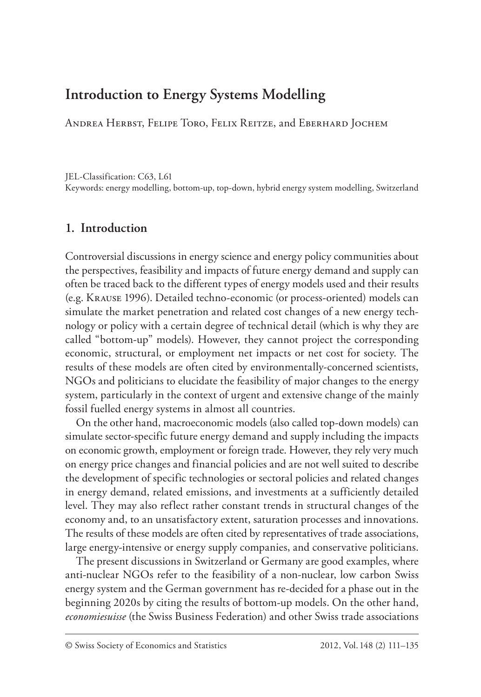# **Introduction to Energy Systems Modelling**

Andrea Herbst, Felipe Toro, Felix Reitze, and Eberhard Jochem

JEL-Classification: C63, L61 Keywords: energy modelling, bottom-up, top-down, hybrid energy system modelling, Switzerland

# **1. Introduction**

Controversial discussions in energy science and energy policy communities about the perspectives, feasibility and impacts of future energy demand and supply can often be traced back to the different types of energy models used and their results (e.g. Krause 1996). Detailed techno-economic (or process-oriented) models can simulate the market penetration and related cost changes of a new energy technology or policy with a certain degree of technical detail (which is why they are called "bottom-up" models). However, they cannot project the corresponding economic, structural, or employment net impacts or net cost for society. The results of these models are often cited by environmentally-concerned scientists, NGOs and politicians to elucidate the feasibility of major changes to the energy system, particularly in the context of urgent and extensive change of the mainly fossil fuelled energy systems in almost all countries.

On the other hand, macroeconomic models (also called top-down models) can simulate sector-specific future energy demand and supply including the impacts on economic growth, employment or foreign trade. However, they rely very much on energy price changes and financial policies and are not well suited to describe the development of specific technologies or sectoral policies and related changes in energy demand, related emissions, and investments at a sufficiently detailed level. They may also reflect rather constant trends in structural changes of the economy and, to an unsatisfactory extent, saturation processes and innovations. The results of these models are often cited by representatives of trade associations, large energy-intensive or energy supply companies, and conservative politicians.

The present discussions in Switzerland or Germany are good examples, where anti-nuclear NGOs refer to the feasibility of a non-nuclear, low carbon Swiss energy system and the German government has re-decided for a phase out in the beginning 2020s by citing the results of bottom-up models. On the other hand, *economiesuisse* (the Swiss Business Federation) and other Swiss trade associations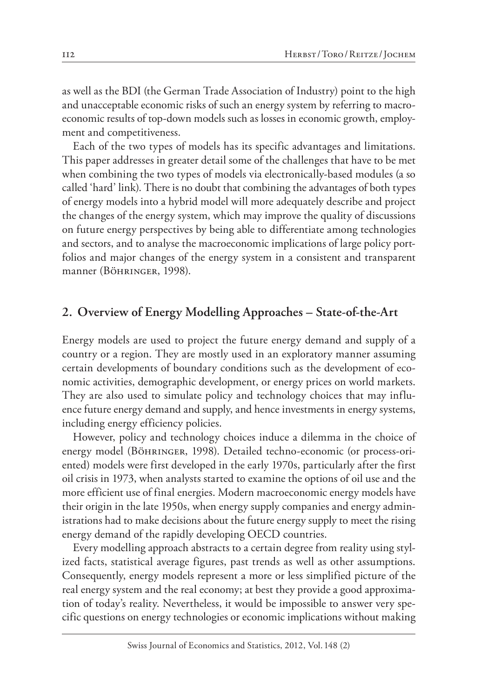as well as the BDI (the German Trade Association of Industry) point to the high and unacceptable economic risks of such an energy system by referring to macroeconomic results of top-down models such as losses in economic growth, employment and competitiveness.

Each of the two types of models has its specific advantages and limitations. This paper addresses in greater detail some of the challenges that have to be met when combining the two types of models via electronically-based modules (a so called 'hard' link). There is no doubt that combining the advantages of both types of energy models into a hybrid model will more adequately describe and project the changes of the energy system, which may improve the quality of discussions on future energy perspectives by being able to differentiate among technologies and sectors, and to analyse the macroeconomic implications of large policy portfolios and major changes of the energy system in a consistent and transparent manner (Böhringer, 1998).

## **2. Overview of Energy Modelling Approaches – State-of-the-Art**

Energy models are used to project the future energy demand and supply of a country or a region. They are mostly used in an exploratory manner assuming certain developments of boundary conditions such as the development of economic activities, demographic development, or energy prices on world markets. They are also used to simulate policy and technology choices that may influence future energy demand and supply, and hence investments in energy systems, including energy efficiency policies.

However, policy and technology choices induce a dilemma in the choice of energy model (Böhringer, 1998). Detailed techno-economic (or process-oriented) models were first developed in the early 1970s, particularly after the first oil crisis in 1973, when analysts started to examine the options of oil use and the more efficient use of final energies. Modern macroeconomic energy models have their origin in the late 1950s, when energy supply companies and energy administrations had to make decisions about the future energy supply to meet the rising energy demand of the rapidly developing OECD countries.

Every modelling approach abstracts to a certain degree from reality using stylized facts, statistical average figures, past trends as well as other assumptions. Consequently, energy models represent a more or less simplified picture of the real energy system and the real economy; at best they provide a good approximation of today's reality. Nevertheless, it would be impossible to answer very specific questions on energy technologies or economic implications without making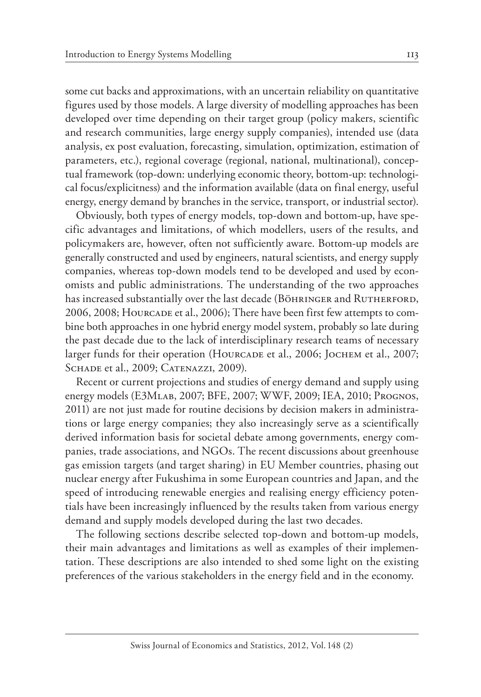some cut backs and approximations, with an uncertain reliability on quantitative figures used by those models. A large diversity of modelling approaches has been developed over time depending on their target group (policy makers, scientific and research communities, large energy supply companies), intended use (data analysis, ex post evaluation, forecasting, simulation, optimization, estimation of parameters, etc.), regional coverage (regional, national, multinational), conceptual framework (top-down: underlying economic theory, bottom-up: technological focus/explicitness) and the information available (data on final energy, useful energy, energy demand by branches in the service, transport, or industrial sector).

Obviously, both types of energy models, top-down and bottom-up, have specific advantages and limitations, of which modellers, users of the results, and policymakers are, however, often not sufficiently aware. Bottom-up models are generally constructed and used by engineers, natural scientists, and energy supply companies, whereas top-down models tend to be developed and used by economists and public administrations. The understanding of the two approaches has increased substantially over the last decade (BÖHRINGER and RUTHERFORD, 2006, 2008; Hourcade et al., 2006); There have been first few attempts to combine both approaches in one hybrid energy model system, probably so late during the past decade due to the lack of interdisciplinary research teams of necessary larger funds for their operation (HOURCADE et al., 2006; JOCHEM et al., 2007; SCHADE et al., 2009; CATENAZZI, 2009).

Recent or current projections and studies of energy demand and supply using energy models (E3Mlab, 2007; BFE, 2007; WWF, 2009; IEA, 2010; Prognos, 2011) are not just made for routine decisions by decision makers in administrations or large energy companies; they also increasingly serve as a scientifically derived information basis for societal debate among governments, energy companies, trade associations, and NGOs. The recent discussions about greenhouse gas emission targets (and target sharing) in EU Member countries, phasing out nuclear energy after Fukushima in some European countries and Japan, and the speed of introducing renewable energies and realising energy efficiency potentials have been increasingly influenced by the results taken from various energy demand and supply models developed during the last two decades.

The following sections describe selected top-down and bottom-up models, their main advantages and limitations as well as examples of their implementation. These descriptions are also intended to shed some light on the existing preferences of the various stakeholders in the energy field and in the economy.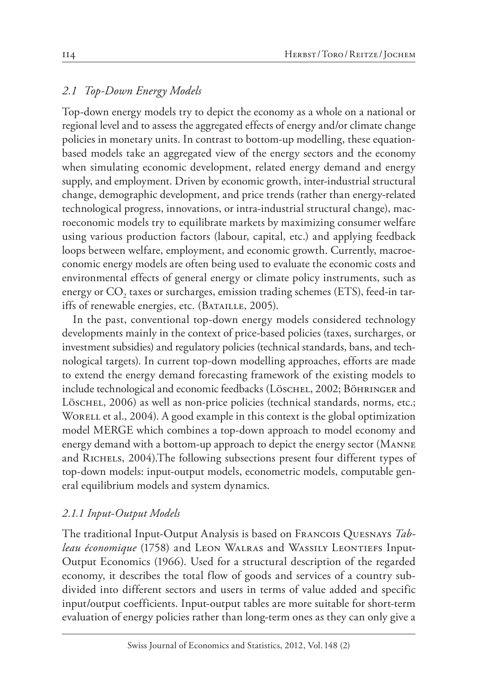# *2.1 Top-Down Energy Models*

Top-down energy models try to depict the economy as a whole on a national or regional level and to assess the aggregated effects of energy and/or climate change policies in monetary units. In contrast to bottom-up modelling, these equationbased models take an aggregated view of the energy sectors and the economy when simulating economic development, related energy demand and energy supply, and employment. Driven by economic growth, inter-industrial structural change, demographic development, and price trends (rather than energy-related technological progress, innovations, or intra-industrial structural change), macroeconomic models try to equilibrate markets by maximizing consumer welfare using various production factors (labour, capital, etc.) and applying feedback loops between welfare, employment, and economic growth. Currently, macroeconomic energy models are often being used to evaluate the economic costs and environmental effects of general energy or climate policy instruments, such as energy or  $CO$ , taxes or surcharges, emission trading schemes (ETS), feed-in tariffs of renewable energies, etc. (BATAILLE, 2005).

In the past, conventional top-down energy models considered technology developments mainly in the context of price-based policies (taxes, surcharges, or investment subsidies) and regulatory policies (technical standards, bans, and technological targets). In current top-down modelling approaches, efforts are made to extend the energy demand forecasting framework of the existing models to include technological and economic feedbacks (Löschel, 2002; Böhringer and Löschel, 2006) as well as non-price policies (technical standards, norms, etc.; WORELL et al., 2004). A good example in this context is the global optimization model MERGE which combines a top-down approach to model economy and energy demand with a bottom-up approach to depict the energy sector (Manne and Richels, 2004).The following subsections present four different types of top-down models: input-output models, econometric models, computable general equilibrium models and system dynamics.

### *2.1.1 Input-Output Models*

The traditional Input-Output Analysis is based on Francois Quesnays *Tableau économique* (1758) and LEON WALRAS and WASSILY LEONTIEFS Input-Output Economics (1966). Used for a structural description of the regarded economy, it describes the total flow of goods and services of a country subdivided into different sectors and users in terms of value added and specific input/output coefficients. Input-output tables are more suitable for short-term evaluation of energy policies rather than long-term ones as they can only give a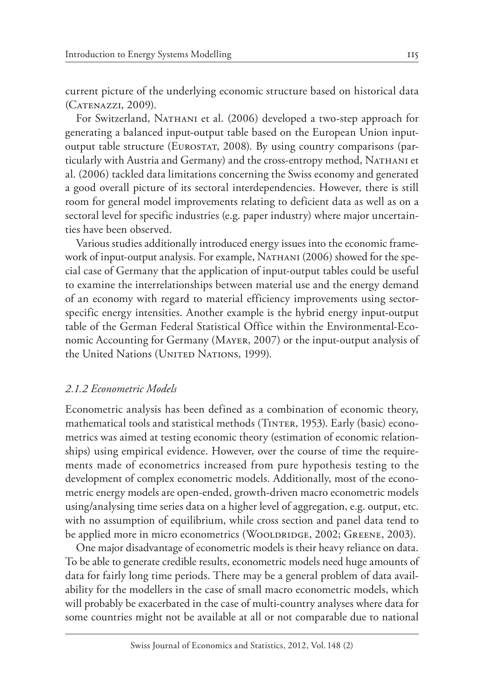current picture of the underlying economic structure based on historical data (Catenazzi, 2009).

For Switzerland, Nathani et al. (2006) developed a two-step approach for generating a balanced input-output table based on the European Union inputoutput table structure (EUROSTAT, 2008). By using country comparisons (particularly with Austria and Germany) and the cross-entropy method, Nathani et al. (2006) tackled data limitations concerning the Swiss economy and generated a good overall picture of its sectoral interdependencies. However, there is still room for general model improvements relating to deficient data as well as on a sectoral level for specific industries (e.g. paper industry) where major uncertainties have been observed.

Various studies additionally introduced energy issues into the economic framework of input-output analysis. For example, NATHANI (2006) showed for the special case of Germany that the application of input-output tables could be useful to examine the interrelationships between material use and the energy demand of an economy with regard to material efficiency improvements using sectorspecific energy intensities. Another example is the hybrid energy input-output table of the German Federal Statistical Office within the Environmental-Economic Accounting for Germany (Mayer, 2007) or the input-output analysis of the United Nations (UNITED NATIONS, 1999).

#### *2.1.2 Econometric Models*

Econometric analysis has been defined as a combination of economic theory, mathematical tools and statistical methods (Tinter, 1953). Early (basic) econometrics was aimed at testing economic theory (estimation of economic relationships) using empirical evidence. However, over the course of time the requirements made of econometrics increased from pure hypothesis testing to the development of complex econometric models. Additionally, most of the econometric energy models are open-ended, growth-driven macro econometric models using/analysing time series data on a higher level of aggregation, e.g. output, etc. with no assumption of equilibrium, while cross section and panel data tend to be applied more in micro econometrics (WOOLDRIDGE, 2002; GREENE, 2003).

One major disadvantage of econometric models is their heavy reliance on data. To be able to generate credible results, econometric models need huge amounts of data for fairly long time periods. There may be a general problem of data availability for the modellers in the case of small macro econometric models, which will probably be exacerbated in the case of multi-country analyses where data for some countries might not be available at all or not comparable due to national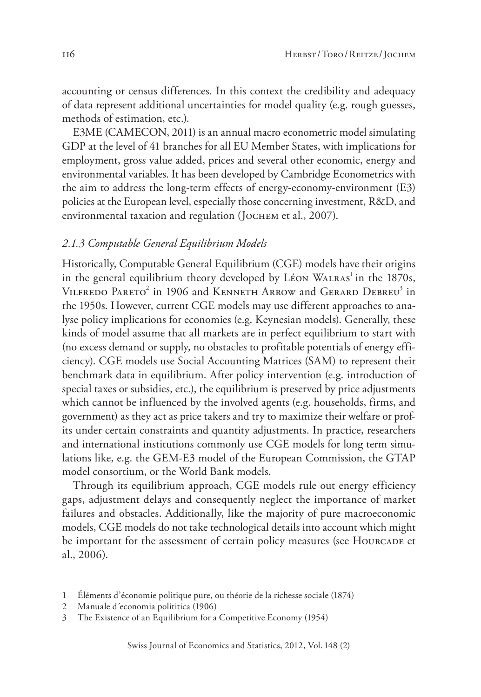accounting or census differences. In this context the credibility and adequacy of data represent additional uncertainties for model quality (e.g. rough guesses, methods of estimation, etc.).

E3ME (CAMECON, 2011) is an annual macro econometric model simulating GDP at the level of 41 branches for all EU Member States, with implications for employment, gross value added, prices and several other economic, energy and environmental variables. It has been developed by Cambridge Econometrics with the aim to address the long-term effects of energy-economy-environment (E3) policies at the European level, especially those concerning investment, R&D, and environmental taxation and regulation (Jochem et al., 2007).

#### *2.1.3 Computable General Equilibrium Models*

Historically, Computable General Equilibrium (CGE) models have their origins in the general equilibrium theory developed by Léon WALRAS<sup>1</sup> in the 1870s, Vilfredo Pareto $^2$  in 1906 and Kenneth Arrow and Gerard Debreu $^3$  in the 1950s. However, current CGE models may use different approaches to analyse policy implications for economies (e.g. Keynesian models). Generally, these kinds of model assume that all markets are in perfect equilibrium to start with (no excess demand or supply, no obstacles to profitable potentials of energy efficiency). CGE models use Social Accounting Matrices (SAM) to represent their benchmark data in equilibrium. After policy intervention (e.g. introduction of special taxes or subsidies, etc.), the equilibrium is preserved by price adjustments which cannot be influenced by the involved agents (e.g. households, firms, and government) as they act as price takers and try to maximize their welfare or profits under certain constraints and quantity adjustments. In practice, researchers and international institutions commonly use CGE models for long term simulations like, e.g. the GEM-E3 model of the European Commission, the GTAP model consortium, or the World Bank models.

Through its equilibrium approach, CGE models rule out energy efficiency gaps, adjustment delays and consequently neglect the importance of market failures and obstacles. Additionally, like the majority of pure macroeconomic models, CGE models do not take technological details into account which might be important for the assessment of certain policy measures (see HOURCADE et al., 2006).

- 2 Manuale d´economia polititica (1906)
- 3 The Existence of an Equilibrium for a Competitive Economy (1954)

<sup>1</sup> Éléments d'économie politique pure, ou théorie de la richesse sociale (1874)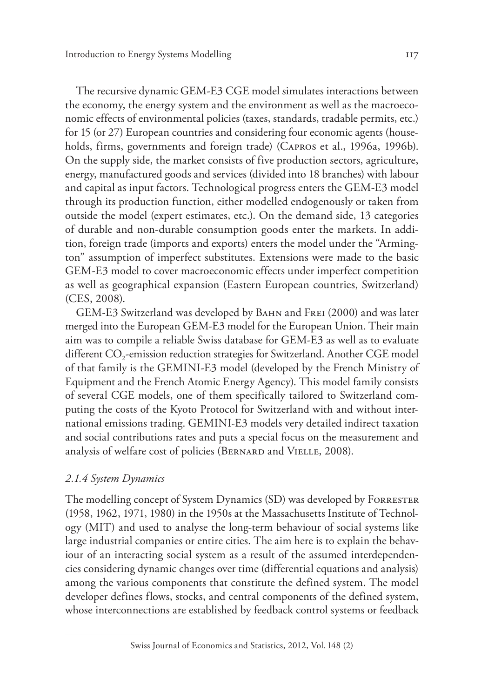The recursive dynamic GEM-E3 CGE model simulates interactions between the economy, the energy system and the environment as well as the macroeconomic effects of environmental policies (taxes, standards, tradable permits, etc.) for 15 (or 27) European countries and considering four economic agents (households, firms, governments and foreign trade) (Capros et al., 1996a, 1996b). On the supply side, the market consists of five production sectors, agriculture, energy, manufactured goods and services (divided into 18 branches) with labour and capital as input factors. Technological progress enters the GEM-E3 model through its production function, either modelled endogenously or taken from outside the model (expert estimates, etc.). On the demand side, 13 categories of durable and non-durable consumption goods enter the markets. In addition, foreign trade (imports and exports) enters the model under the "Armington" assumption of imperfect substitutes. Extensions were made to the basic GEM-E3 model to cover macroeconomic effects under imperfect competition as well as geographical expansion (Eastern European countries, Switzerland) (CES, 2008).

GEM-E3 Switzerland was developed by Bahn and Frei (2000) and was later merged into the European GEM-E3 model for the European Union. Their main aim was to compile a reliable Swiss database for GEM-E3 as well as to evaluate different CO<sub>2</sub>-emission reduction strategies for Switzerland. Another CGE model of that family is the GEMINI-E3 model (developed by the French Ministry of Equipment and the French Atomic Energy Agency). This model family consists of several CGE models, one of them specifically tailored to Switzerland computing the costs of the Kyoto Protocol for Switzerland with and without international emissions trading. GEMINI-E3 models very detailed indirect taxation and social contributions rates and puts a special focus on the measurement and analysis of welfare cost of policies (BERNARD and VIELLE, 2008).

### *2.1.4 System Dynamics*

The modelling concept of System Dynamics (SD) was developed by Forrester (1958, 1962, 1971, 1980) in the 1950s at the Massachusetts Institute of Technology (MIT) and used to analyse the long-term behaviour of social systems like large industrial companies or entire cities. The aim here is to explain the behaviour of an interacting social system as a result of the assumed interdependencies considering dynamic changes over time (differential equations and analysis) among the various components that constitute the defined system. The model developer defines flows, stocks, and central components of the defined system, whose interconnections are established by feedback control systems or feedback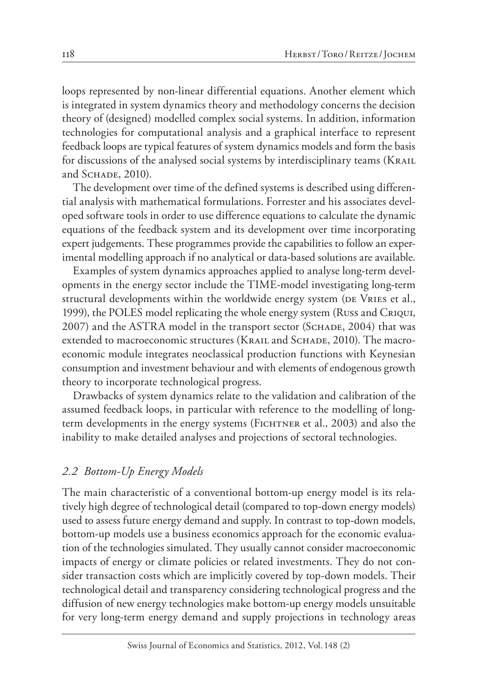loops represented by non-linear differential equations. Another element which is integrated in system dynamics theory and methodology concerns the decision theory of (designed) modelled complex social systems. In addition, information technologies for computational analysis and a graphical interface to represent feedback loops are typical features of system dynamics models and form the basis for discussions of the analysed social systems by interdisciplinary teams (KRAIL and SCHADE, 2010).

The development over time of the defined systems is described using differential analysis with mathematical formulations. Forrester and his associates developed software tools in order to use difference equations to calculate the dynamic equations of the feedback system and its development over time incorporating expert judgements. These programmes provide the capabilities to follow an experimental modelling approach if no analytical or data-based solutions are available.

Examples of system dynamics approaches applied to analyse long-term developments in the energy sector include the TIME-model investigating long-term structural developments within the worldwide energy system (DE VRIES et al., 1999), the POLES model replicating the whole energy system (Russ and Criqui, 2007) and the ASTRA model in the transport sector (SCHADE, 2004) that was extended to macroeconomic structures (KRAIL and SCHADE, 2010). The macroeconomic module integrates neoclassical production functions with Keynesian consumption and investment behaviour and with elements of endogenous growth theory to incorporate technological progress.

Drawbacks of system dynamics relate to the validation and calibration of the assumed feedback loops, in particular with reference to the modelling of longterm developments in the energy systems (Fichtner et al., 2003) and also the inability to make detailed analyses and projections of sectoral technologies.

#### *2.2 Bottom-Up Energy Models*

The main characteristic of a conventional bottom-up energy model is its relatively high degree of technological detail (compared to top-down energy models) used to assess future energy demand and supply. In contrast to top-down models, bottom-up models use a business economics approach for the economic evaluation of the technologies simulated. They usually cannot consider macroeconomic impacts of energy or climate policies or related investments. They do not consider transaction costs which are implicitly covered by top-down models. Their technological detail and transparency considering technological progress and the diffusion of new energy technologies make bottom-up energy models unsuitable for very long-term energy demand and supply projections in technology areas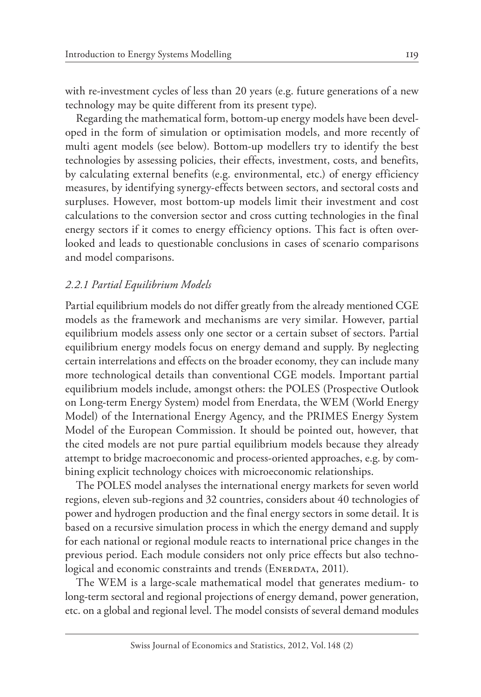with re-investment cycles of less than 20 years (e.g. future generations of a new technology may be quite different from its present type).

Regarding the mathematical form, bottom-up energy models have been developed in the form of simulation or optimisation models, and more recently of multi agent models (see below). Bottom-up modellers try to identify the best technologies by assessing policies, their effects, investment, costs, and benefits, by calculating external benefits (e.g. environmental, etc.) of energy efficiency measures, by identifying synergy-effects between sectors, and sectoral costs and surpluses. However, most bottom-up models limit their investment and cost calculations to the conversion sector and cross cutting technologies in the final energy sectors if it comes to energy efficiency options. This fact is often overlooked and leads to questionable conclusions in cases of scenario comparisons and model comparisons.

#### *2.2.1 Partial Equilibrium Models*

Partial equilibrium models do not differ greatly from the already mentioned CGE models as the framework and mechanisms are very similar. However, partial equilibrium models assess only one sector or a certain subset of sectors. Partial equilibrium energy models focus on energy demand and supply. By neglecting certain interrelations and effects on the broader economy, they can include many more technological details than conventional CGE models. Important partial equilibrium models include, amongst others: the POLES (Prospective Outlook on Long-term Energy System) model from Enerdata, the WEM (World Energy Model) of the International Energy Agency, and the PRIMES Energy System Model of the European Commission. It should be pointed out, however, that the cited models are not pure partial equilibrium models because they already attempt to bridge macroeconomic and process-oriented approaches, e.g. by combining explicit technology choices with microeconomic relationships.

The POLES model analyses the international energy markets for seven world regions, eleven sub-regions and 32 countries, considers about 40 technologies of power and hydrogen production and the final energy sectors in some detail. It is based on a recursive simulation process in which the energy demand and supply for each national or regional module reacts to international price changes in the previous period. Each module considers not only price effects but also technological and economic constraints and trends (ENERDATA, 2011).

The WEM is a large-scale mathematical model that generates medium- to long-term sectoral and regional projections of energy demand, power generation, etc. on a global and regional level. The model consists of several demand modules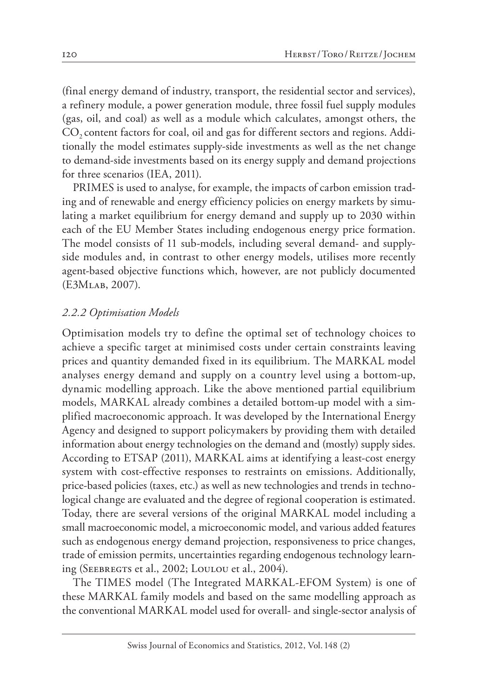(final energy demand of industry, transport, the residential sector and services), a refinery module, a power generation module, three fossil fuel supply modules (gas, oil, and coal) as well as a module which calculates, amongst others, the CO<sub>2</sub> content factors for coal, oil and gas for different sectors and regions. Additionally the model estimates supply-side investments as well as the net change to demand-side investments based on its energy supply and demand projections for three scenarios (IEA, 2011).

PRIMES is used to analyse, for example, the impacts of carbon emission trading and of renewable and energy efficiency policies on energy markets by simulating a market equilibrium for energy demand and supply up to 2030 within each of the EU Member States including endogenous energy price formation. The model consists of 11 sub-models, including several demand- and supplyside modules and, in contrast to other energy models, utilises more recently agent-based objective functions which, however, are not publicly documented (E3Mlab, 2007).

#### *2.2.2 Optimisation Models*

Optimisation models try to define the optimal set of technology choices to achieve a specific target at minimised costs under certain constraints leaving prices and quantity demanded fixed in its equilibrium. The MARKAL model analyses energy demand and supply on a country level using a bottom-up, dynamic modelling approach. Like the above mentioned partial equilibrium models, MARKAL already combines a detailed bottom-up model with a simplified macroeconomic approach. It was developed by the International Energy Agency and designed to support policymakers by providing them with detailed information about energy technologies on the demand and (mostly) supply sides. According to ETSAP (2011), MARKAL aims at identifying a least-cost energy system with cost-effective responses to restraints on emissions. Additionally, price-based policies (taxes, etc.) as well as new technologies and trends in technological change are evaluated and the degree of regional cooperation is estimated. Today, there are several versions of the original MARKAL model including a small macroeconomic model, a microeconomic model, and various added features such as endogenous energy demand projection, responsiveness to price changes, trade of emission permits, uncertainties regarding endogenous technology learning (Seebregts et al., 2002; Loulou et al., 2004).

The TIMES model (The Integrated MARKAL-EFOM System) is one of these MARKAL family models and based on the same modelling approach as the conventional MARKAL model used for overall- and single-sector analysis of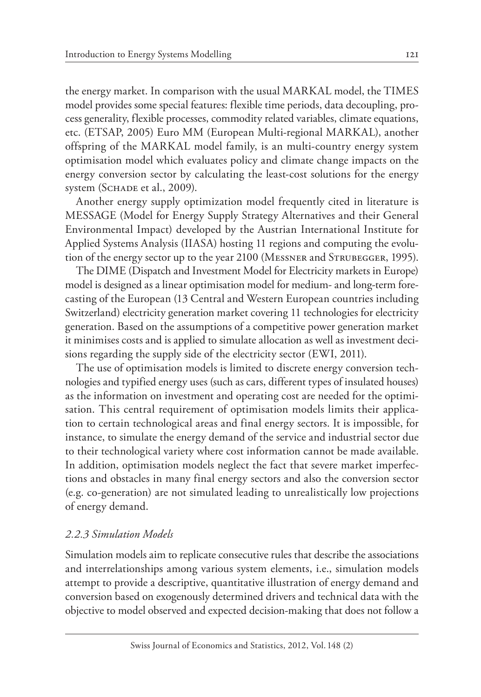the energy market. In comparison with the usual MARKAL model, the TIMES model provides some special features: flexible time periods, data decoupling, process generality, flexible processes, commodity related variables, climate equations, etc. (ETSAP, 2005) Euro MM (European Multi-regional MARKAL), another offspring of the MARKAL model family, is an multi-country energy system optimisation model which evaluates policy and climate change impacts on the energy conversion sector by calculating the least-cost solutions for the energy system (SCHADE et al., 2009).

Another energy supply optimization model frequently cited in literature is MESSAGE (Model for Energy Supply Strategy Alternatives and their General Environmental Impact) developed by the Austrian International Institute for Applied Systems Analysis (IIASA) hosting 11 regions and computing the evolution of the energy sector up to the year 2100 (MESSNER and STRUBEGGER, 1995).

The DIME (Dispatch and Investment Model for Electricity markets in Europe) model is designed as a linear optimisation model for medium- and long-term forecasting of the European (13 Central and Western European countries including Switzerland) electricity generation market covering 11 technologies for electricity generation. Based on the assumptions of a competitive power generation market it minimises costs and is applied to simulate allocation as well as investment decisions regarding the supply side of the electricity sector (EWI, 2011).

The use of optimisation models is limited to discrete energy conversion technologies and typified energy uses (such as cars, different types of insulated houses) as the information on investment and operating cost are needed for the optimisation. This central requirement of optimisation models limits their application to certain technological areas and final energy sectors. It is impossible, for instance, to simulate the energy demand of the service and industrial sector due to their technological variety where cost information cannot be made available. In addition, optimisation models neglect the fact that severe market imperfections and obstacles in many final energy sectors and also the conversion sector (e.g. co-generation) are not simulated leading to unrealistically low projections of energy demand.

#### *2.2.3 Simulation Models*

Simulation models aim to replicate consecutive rules that describe the associations and interrelationships among various system elements, i.e., simulation models attempt to provide a descriptive, quantitative illustration of energy demand and conversion based on exogenously determined drivers and technical data with the objective to model observed and expected decision-making that does not follow a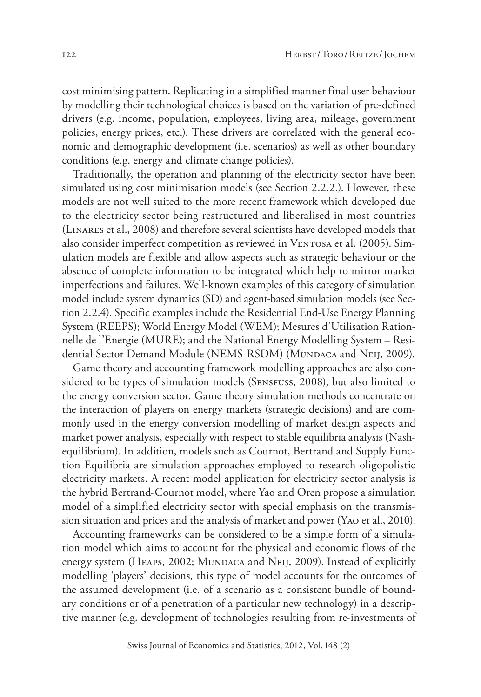cost minimising pattern. Replicating in a simplified manner final user behaviour by modelling their technological choices is based on the variation of pre-defined drivers (e.g. income, population, employees, living area, mileage, government policies, energy prices, etc.). These drivers are correlated with the general economic and demographic development (i.e. scenarios) as well as other boundary conditions (e.g. energy and climate change policies).

Traditionally, the operation and planning of the electricity sector have been simulated using cost minimisation models (see Section 2.2.2.). However, these models are not well suited to the more recent framework which developed due to the electricity sector being restructured and liberalised in most countries (Linares et al., 2008) and therefore several scientists have developed models that also consider imperfect competition as reviewed in VENTOSA et al. (2005). Simulation models are flexible and allow aspects such as strategic behaviour or the absence of complete information to be integrated which help to mirror market imperfections and failures. Well-known examples of this category of simulation model include system dynamics (SD) and agent-based simulation models (see Section 2.2.4). Specific examples include the Residential End-Use Energy Planning System (REEPS); World Energy Model (WEM); Mesures d'Utilisation Rationnelle de l'Energie (MURE); and the National Energy Modelling System – Residential Sector Demand Module (NEMS-RSDM) (MUNDACA and NEIJ, 2009).

Game theory and accounting framework modelling approaches are also considered to be types of simulation models (SENSFUSS, 2008), but also limited to the energy conversion sector. Game theory simulation methods concentrate on the interaction of players on energy markets (strategic decisions) and are commonly used in the energy conversion modelling of market design aspects and market power analysis, especially with respect to stable equilibria analysis (Nashequilibrium). In addition, models such as Cournot, Bertrand and Supply Function Equilibria are simulation approaches employed to research oligopolistic electricity markets. A recent model application for electricity sector analysis is the hybrid Bertrand-Cournot model, where Yao and Oren propose a simulation model of a simplified electricity sector with special emphasis on the transmission situation and prices and the analysis of market and power (Yao et al., 2010).

Accounting frameworks can be considered to be a simple form of a simulation model which aims to account for the physical and economic flows of the energy system (HEAPS, 2002; MUNDACA and NEIJ, 2009). Instead of explicitly modelling 'players' decisions, this type of model accounts for the outcomes of the assumed development (i.e. of a scenario as a consistent bundle of boundary conditions or of a penetration of a particular new technology) in a descriptive manner (e.g. development of technologies resulting from re-investments of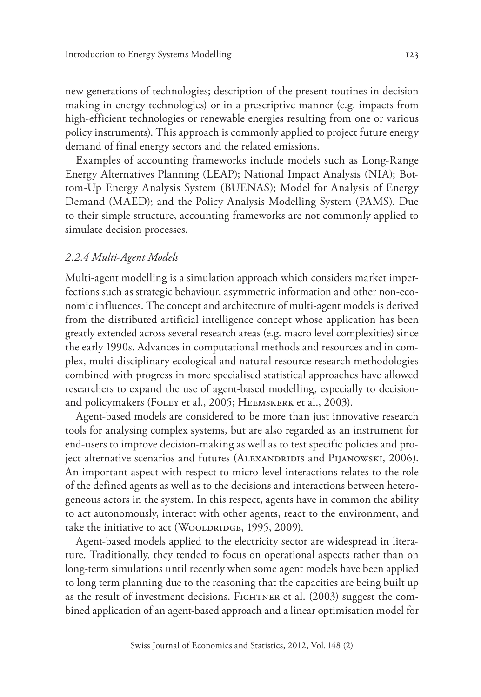new generations of technologies; description of the present routines in decision making in energy technologies) or in a prescriptive manner (e.g. impacts from high-efficient technologies or renewable energies resulting from one or various policy instruments). This approach is commonly applied to project future energy demand of final energy sectors and the related emissions.

Examples of accounting frameworks include models such as Long-Range Energy Alternatives Planning (LEAP); National Impact Analysis (NIA); Bottom-Up Energy Analysis System (BUENAS); Model for Analysis of Energy Demand (MAED); and the Policy Analysis Modelling System (PAMS). Due to their simple structure, accounting frameworks are not commonly applied to simulate decision processes.

#### *2.2.4 Multi-Agent Models*

Multi-agent modelling is a simulation approach which considers market imperfections such as strategic behaviour, asymmetric information and other non-economic influences. The concept and architecture of multi-agent models is derived from the distributed artificial intelligence concept whose application has been greatly extended across several research areas (e.g. macro level complexities) since the early 1990s. Advances in computational methods and resources and in complex, multi-disciplinary ecological and natural resource research methodologies combined with progress in more specialised statistical approaches have allowed researchers to expand the use of agent-based modelling, especially to decisionand policymakers (Foley et al., 2005; Heemskerk et al., 2003).

Agent-based models are considered to be more than just innovative research tools for analysing complex systems, but are also regarded as an instrument for end-users to improve decision-making as well as to test specific policies and project alternative scenarios and futures (ALEXANDRIDIS and PIJANOWSKI, 2006). An important aspect with respect to micro-level interactions relates to the role of the defined agents as well as to the decisions and interactions between heterogeneous actors in the system. In this respect, agents have in common the ability to act autonomously, interact with other agents, react to the environment, and take the initiative to act (WOOLDRIDGE, 1995, 2009).

Agent-based models applied to the electricity sector are widespread in literature. Traditionally, they tended to focus on operational aspects rather than on long-term simulations until recently when some agent models have been applied to long term planning due to the reasoning that the capacities are being built up as the result of investment decisions. FICHTNER et al. (2003) suggest the combined application of an agent-based approach and a linear optimisation model for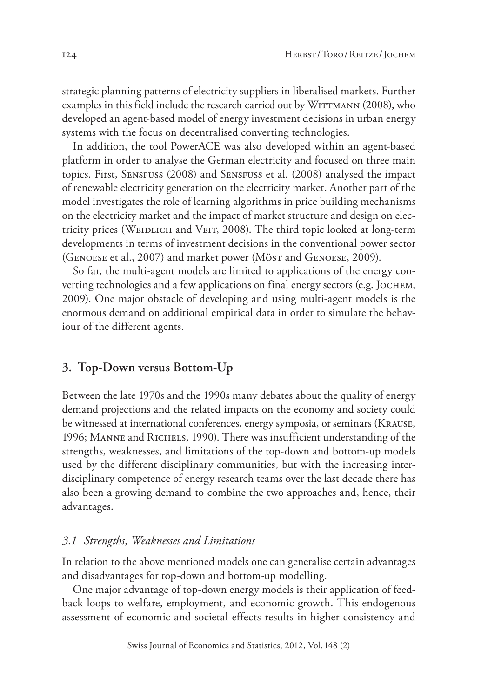strategic planning patterns of electricity suppliers in liberalised markets. Further examples in this field include the research carried out by WITTMANN (2008), who developed an agent-based model of energy investment decisions in urban energy systems with the focus on decentralised converting technologies.

In addition, the tool PowerACE was also developed within an agent-based platform in order to analyse the German electricity and focused on three main topics. First, Sensfuss (2008) and Sensfuss et al. (2008) analysed the impact of renewable electricity generation on the electricity market. Another part of the model investigates the role of learning algorithms in price building mechanisms on the electricity market and the impact of market structure and design on electricity prices (WEIDLICH and VEIT, 2008). The third topic looked at long-term developments in terms of investment decisions in the conventional power sector (Genoese et al., 2007) and market power (Möst and Genoese, 2009).

So far, the multi-agent models are limited to applications of the energy converting technologies and a few applications on final energy sectors (e.g. Jochem, 2009). One major obstacle of developing and using multi-agent models is the enormous demand on additional empirical data in order to simulate the behaviour of the different agents.

# **3. Top-Down versus Bottom-Up**

Between the late 1970s and the 1990s many debates about the quality of energy demand projections and the related impacts on the economy and society could be witnessed at international conferences, energy symposia, or seminars (Krause, 1996; Manne and Richels, 1990). There was insufficient understanding of the strengths, weaknesses, and limitations of the top-down and bottom-up models used by the different disciplinary communities, but with the increasing interdisciplinary competence of energy research teams over the last decade there has also been a growing demand to combine the two approaches and, hence, their advantages.

#### *3.1 Strengths, Weaknesses and Limitations*

In relation to the above mentioned models one can generalise certain advantages and disadvantages for top-down and bottom-up modelling.

One major advantage of top-down energy models is their application of feedback loops to welfare, employment, and economic growth. This endogenous assessment of economic and societal effects results in higher consistency and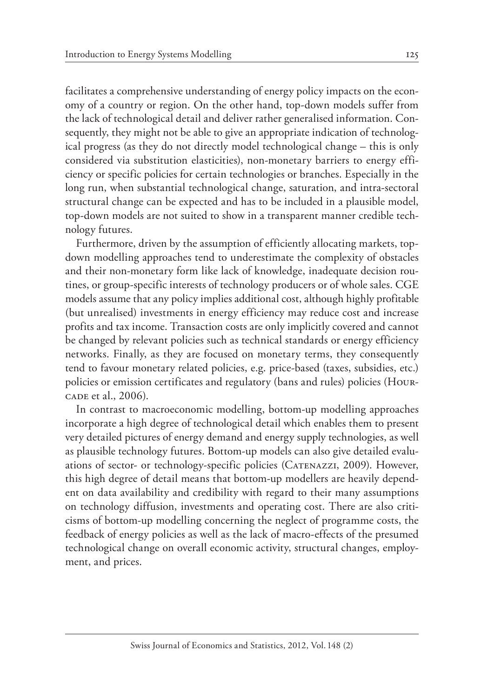facilitates a comprehensive understanding of energy policy impacts on the economy of a country or region. On the other hand, top-down models suffer from the lack of technological detail and deliver rather generalised information. Consequently, they might not be able to give an appropriate indication of technological progress (as they do not directly model technological change – this is only considered via substitution elasticities), non-monetary barriers to energy efficiency or specific policies for certain technologies or branches. Especially in the long run, when substantial technological change, saturation, and intra-sectoral structural change can be expected and has to be included in a plausible model, top-down models are not suited to show in a transparent manner credible technology futures.

Furthermore, driven by the assumption of efficiently allocating markets, topdown modelling approaches tend to underestimate the complexity of obstacles and their non-monetary form like lack of knowledge, inadequate decision routines, or group-specific interests of technology producers or of whole sales. CGE models assume that any policy implies additional cost, although highly profitable (but unrealised) investments in energy efficiency may reduce cost and increase profits and tax income. Transaction costs are only implicitly covered and cannot be changed by relevant policies such as technical standards or energy efficiency networks. Finally, as they are focused on monetary terms, they consequently tend to favour monetary related policies, e.g. price-based (taxes, subsidies, etc.) policies or emission certificates and regulatory (bans and rules) policies (Hourcade et al., 2006).

In contrast to macroeconomic modelling, bottom-up modelling approaches incorporate a high degree of technological detail which enables them to present very detailed pictures of energy demand and energy supply technologies, as well as plausible technology futures. Bottom-up models can also give detailed evaluations of sector- or technology-specific policies (Catenazzi, 2009). However, this high degree of detail means that bottom-up modellers are heavily dependent on data availability and credibility with regard to their many assumptions on technology diffusion, investments and operating cost. There are also criticisms of bottom-up modelling concerning the neglect of programme costs, the feedback of energy policies as well as the lack of macro-effects of the presumed technological change on overall economic activity, structural changes, employment, and prices.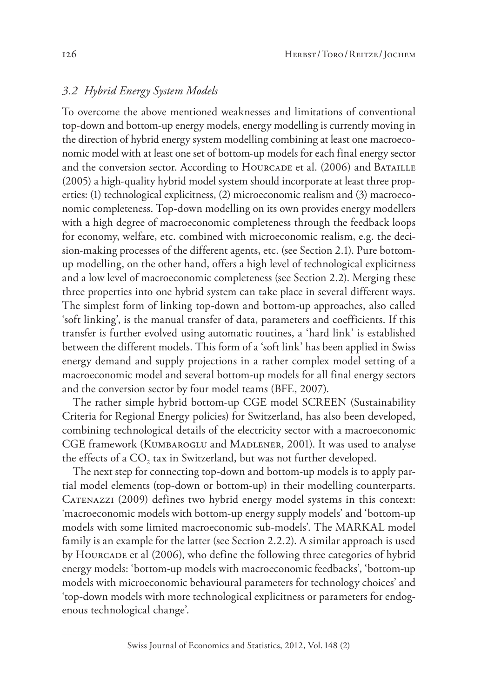# *3.2 Hybrid Energy System Models*

To overcome the above mentioned weaknesses and limitations of conventional top-down and bottom-up energy models, energy modelling is currently moving in the direction of hybrid energy system modelling combining at least one macroeconomic model with at least one set of bottom-up models for each final energy sector and the conversion sector. According to HOURCADE et al. (2006) and BATAILLE (2005) a high-quality hybrid model system should incorporate at least three properties: (1) technological explicitness, (2) microeconomic realism and (3) macroeconomic completeness. Top-down modelling on its own provides energy modellers with a high degree of macroeconomic completeness through the feedback loops for economy, welfare, etc. combined with microeconomic realism, e.g. the decision-making processes of the different agents, etc. (see Section 2.1). Pure bottomup modelling, on the other hand, offers a high level of technological explicitness and a low level of macroeconomic completeness (see Section 2.2). Merging these three properties into one hybrid system can take place in several different ways. The simplest form of linking top-down and bottom-up approaches, also called 'soft linking', is the manual transfer of data, parameters and coefficients. If this transfer is further evolved using automatic routines, a 'hard link' is established between the different models. This form of a 'soft link' has been applied in Swiss energy demand and supply projections in a rather complex model setting of a macroeconomic model and several bottom-up models for all final energy sectors and the conversion sector by four model teams (BFE, 2007).

The rather simple hybrid bottom-up CGE model SCREEN (Sustainability Criteria for Regional Energy policies) for Switzerland, has also been developed, combining technological details of the electricity sector with a macroeconomic CGE framework (Kumbaroglu and Madlener, 2001). It was used to analyse the effects of a CO<sub>2</sub> tax in Switzerland, but was not further developed.

The next step for connecting top-down and bottom-up models is to apply partial model elements (top-down or bottom-up) in their modelling counterparts. CATENAZZI (2009) defines two hybrid energy model systems in this context: 'macroeconomic models with bottom-up energy supply models' and 'bottom-up models with some limited macroeconomic sub-models'. The MARKAL model family is an example for the latter (see Section 2.2.2). A similar approach is used by HOURCADE et al (2006), who define the following three categories of hybrid energy models: 'bottom-up models with macroeconomic feedbacks', 'bottom-up models with microeconomic behavioural parameters for technology choices' and 'top-down models with more technological explicitness or parameters for endogenous technological change'.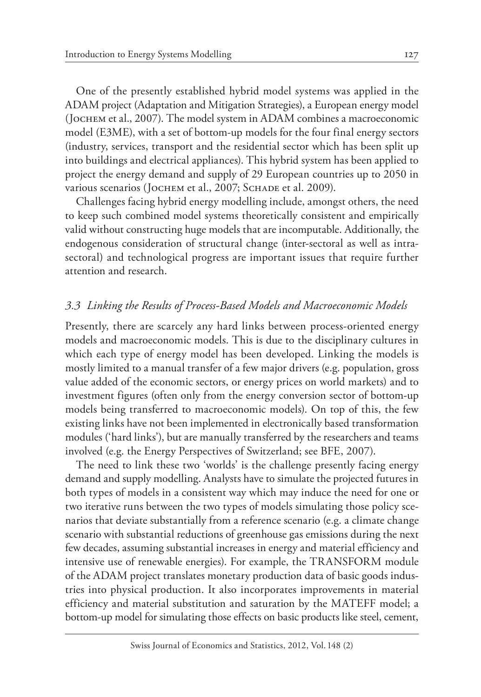One of the presently established hybrid model systems was applied in the ADAM project (Adaptation and Mitigation Strategies), a European energy model (Jochem et al., 2007). The model system in ADAM combines a macroeconomic model (E3ME), with a set of bottom-up models for the four final energy sectors (industry, services, transport and the residential sector which has been split up into buildings and electrical appliances). This hybrid system has been applied to project the energy demand and supply of 29 European countries up to 2050 in various scenarios (JOCHEM et al., 2007; SCHADE et al. 2009).

Challenges facing hybrid energy modelling include, amongst others, the need to keep such combined model systems theoretically consistent and empirically valid without constructing huge models that are incomputable. Additionally, the endogenous consideration of structural change (inter-sectoral as well as intrasectoral) and technological progress are important issues that require further attention and research.

### *3.3 Linking the Results of Process-Based Models and Macroeconomic Models*

Presently, there are scarcely any hard links between process-oriented energy models and macroeconomic models. This is due to the disciplinary cultures in which each type of energy model has been developed. Linking the models is mostly limited to a manual transfer of a few major drivers (e.g. population, gross value added of the economic sectors, or energy prices on world markets) and to investment figures (often only from the energy conversion sector of bottom-up models being transferred to macroeconomic models). On top of this, the few existing links have not been implemented in electronically based transformation modules ('hard links'), but are manually transferred by the researchers and teams involved (e.g. the Energy Perspectives of Switzerland; see BFE, 2007).

The need to link these two 'worlds' is the challenge presently facing energy demand and supply modelling. Analysts have to simulate the projected futures in both types of models in a consistent way which may induce the need for one or two iterative runs between the two types of models simulating those policy scenarios that deviate substantially from a reference scenario (e.g. a climate change scenario with substantial reductions of greenhouse gas emissions during the next few decades, assuming substantial increases in energy and material efficiency and intensive use of renewable energies). For example, the TRANSFORM module of the ADAM project translates monetary production data of basic goods industries into physical production. It also incorporates improvements in material efficiency and material substitution and saturation by the MATEFF model; a bottom-up model for simulating those effects on basic products like steel, cement,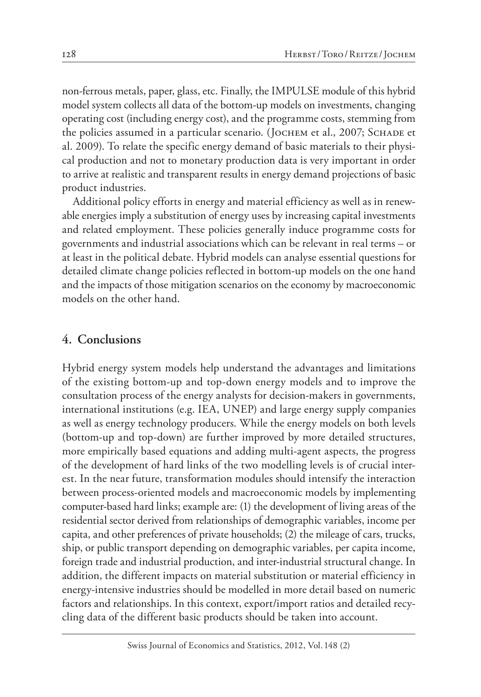non-ferrous metals, paper, glass, etc. Finally, the IMPULSE module of this hybrid model system collects all data of the bottom-up models on investments, changing operating cost (including energy cost), and the programme costs, stemming from the policies assumed in a particular scenario. (JOCHEM et al., 2007; SCHADE et al. 2009). To relate the specific energy demand of basic materials to their physical production and not to monetary production data is very important in order to arrive at realistic and transparent results in energy demand projections of basic product industries.

Additional policy efforts in energy and material efficiency as well as in renewable energies imply a substitution of energy uses by increasing capital investments and related employment. These policies generally induce programme costs for governments and industrial associations which can be relevant in real terms – or at least in the political debate. Hybrid models can analyse essential questions for detailed climate change policies reflected in bottom-up models on the one hand and the impacts of those mitigation scenarios on the economy by macroeconomic models on the other hand.

### **4. Conclusions**

Hybrid energy system models help understand the advantages and limitations of the existing bottom-up and top-down energy models and to improve the consultation process of the energy analysts for decision-makers in governments, international institutions (e.g. IEA, UNEP) and large energy supply companies as well as energy technology producers. While the energy models on both levels (bottom-up and top-down) are further improved by more detailed structures, more empirically based equations and adding multi-agent aspects, the progress of the development of hard links of the two modelling levels is of crucial interest. In the near future, transformation modules should intensify the interaction between process-oriented models and macroeconomic models by implementing computer-based hard links; example are: (1) the development of living areas of the residential sector derived from relationships of demographic variables, income per capita, and other preferences of private households; (2) the mileage of cars, trucks, ship, or public transport depending on demographic variables, per capita income, foreign trade and industrial production, and inter-industrial structural change. In addition, the different impacts on material substitution or material efficiency in energy-intensive industries should be modelled in more detail based on numeric factors and relationships. In this context, export/import ratios and detailed recycling data of the different basic products should be taken into account.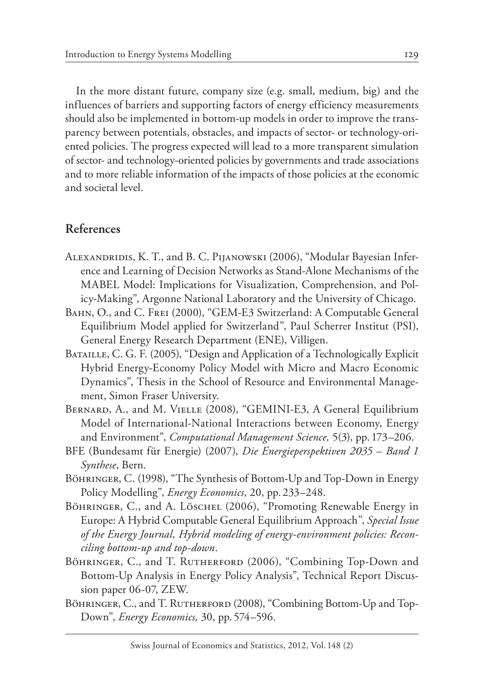In the more distant future, company size (e.g. small, medium, big) and the influences of barriers and supporting factors of energy efficiency measurements should also be implemented in bottom-up models in order to improve the transparency between potentials, obstacles, and impacts of sector- or technology-oriented policies. The progress expected will lead to a more transparent simulation of sector- and technology-oriented policies by governments and trade associations and to more reliable information of the impacts of those policies at the economic and societal level.

# **References**

- Alexandridis, K. T., and B. C. Pijanowski (2006), "Modular Bayesian Inference and Learning of Decision Networks as Stand-Alone Mechanisms of the MABEL Model: Implications for Visualization, Comprehension, and Policy-Making", Argonne National Laboratory and the University of Chicago.
- BAHN, O., and C. FREI (2000), "GEM-E3 Switzerland: A Computable General Equilibrium Model applied for Switzerland", Paul Scherrer Institut (PSI), General Energy Research Department (ENE), Villigen.
- BATAILLE, C. G. F. (2005), "Design and Application of a Technologically Explicit Hybrid Energy-Economy Policy Model with Micro and Macro Economic Dynamics", Thesis in the School of Resource and Environmental Management, Simon Fraser University.
- BERNARD, A., and M. VIELLE (2008), "GEMINI-E3, A General Equilibrium Model of International-National Interactions between Economy, Energy and Environment", *Computational Management Science,* 5(3), pp. 173–206.
- BFE (Bundesamt für Energie) (2007), *Die Energieperspektiven 2035 Band 1 Synthese*, Bern.
- Böhringer, C. (1998), "The Synthesis of Bottom-Up and Top-Down in Energy Policy Modelling", *Energy Economics*, 20, pp. 233–248.
- BöHRINGER, C., and A. Löschel (2006), "Promoting Renewable Energy in Europe: A Hybrid Computable General Equilibrium Approach", *Special Issue of the Energy Journal, Hybrid modeling of energy-environment policies: Reconciling bottom-up and top-down*.
- BÖHRINGER, C., and T. RUTHERFORD (2006), "Combining Top-Down and Bottom-Up Analysis in Energy Policy Analysis", Technical Report Discussion paper 06-07, ZEW.
- BÖHRINGER, C., and T. RUTHERFORD (2008), "Combining Bottom-Up and Top-Down", *Energy Economics,* 30, pp. 574–596.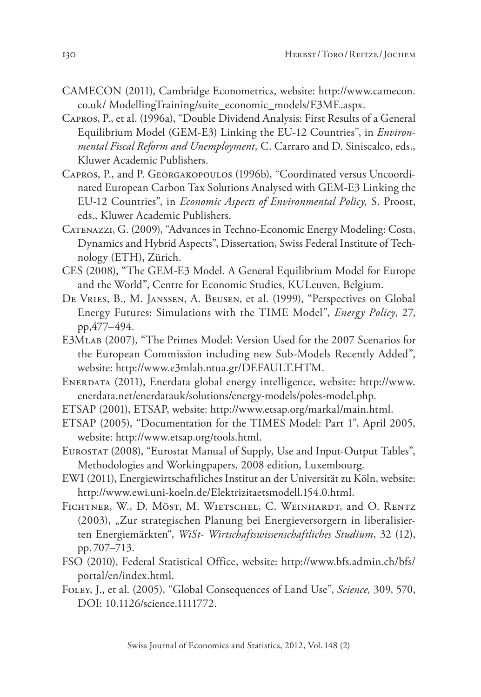- CAMECON (2011), Cambridge Econometrics, website: http://www.camecon. co.uk/ ModellingTraining/suite\_economic\_models/E3ME.aspx.
- Capros, P., et al. (1996a), "Double Dividend Analysis: First Results of a General Equilibrium Model (GEM-E3) Linking the EU-12 Countries", in *Environmental Fiscal Reform and Unemployment,* C. Carraro and D. Siniscalco, eds., Kluwer Academic Publishers.
- Capros, P., and P. Georgakopoulos (1996b), "Coordinated versus Uncoordinated European Carbon Tax Solutions Analysed with GEM-E3 Linking the EU-12 Countries", in *Economic Aspects of Environmental Policy,* S. Proost, eds., Kluwer Academic Publishers.
- Catenazzi, G. (2009), "Advances in Techno-Economic Energy Modeling: Costs, Dynamics and Hybrid Aspects", Dissertation, Swiss Federal Institute of Technology (ETH), Zürich.
- CES (2008), "The GEM-E3 Model. A General Equilibrium Model for Europe and the World", Centre for Economic Studies, KULeuven, Belgium.
- De Vries, B., M. Janssen, A. Beusen, et al. (1999), "Perspectives on Global Energy Futures: Simulations with the TIME Model", *Energy Policy*, 27, pp,477–494.
- E3MLAB (2007), "The Primes Model: Version Used for the 2007 Scenarios for the European Commission including new Sub-Models Recently Added", website: http://www.e3mlab.ntua.gr/DEFAULT.HTM.
- Enerdata (2011), Enerdata global energy intelligence, website: http://www. enerdata.net/enerdatauk/solutions/energy-models/poles-model.php.
- ETSAP (2001), ETSAP, website: http://www.etsap.org/markal/main.html.
- ETSAP (2005), "Documentation for the TIMES Model: Part 1", April 2005, website: http://www.etsap.org/tools.html.
- Eurostat (2008), "Eurostat Manual of Supply, Use and Input-Output Tables", Methodologies and Workingpapers, 2008 edition, Luxembourg.
- EWI (2011), Energiewirtschaftliches Institut an der Universität zu Köln, website: http://www.ewi.uni-koeln.de/Elektrizitaetsmodell.154.0.html.
- Fichtner, W., D. Möst, M. Wietschel, C. Weinhardt, and O. Rentz (2003), "Zur strategischen Planung bei Energieversorgern in liberalisierten Energiemärkten", *WiSt- Wirtschaftswissenschaftliches Studium*, 32 (12), pp. 707–713.
- FSO (2010), Federal Statistical Office, website: http://www.bfs.admin.ch/bfs/ portal/en/index.html.
- Foley, J., et al. (2005), "Global Consequences of Land Use", *Science,* 309, 570, DOI: 10.1126/science.1111772.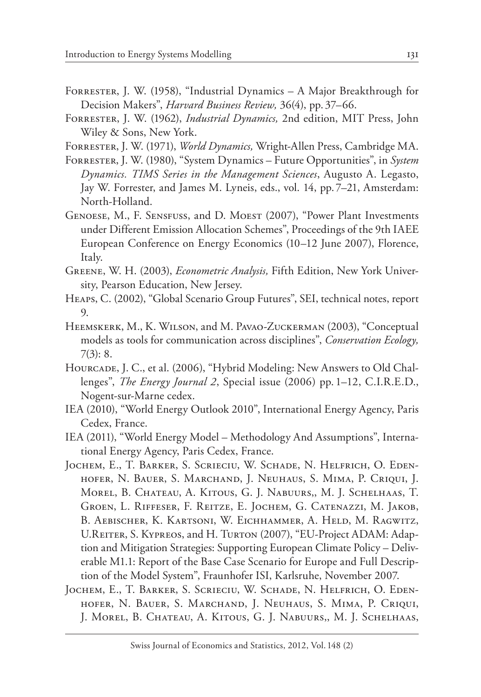- Forrester, J. W. (1958), "Industrial Dynamics A Major Breakthrough for Decision Makers", *Harvard Business Review,* 36(4), pp. 37–66.
- Forrester, J. W. (1962), *Industrial Dynamics,* 2nd edition, MIT Press, John Wiley & Sons, New York.
- Forrester, J. W. (1971), *World Dynamics,* Wright-Allen Press, Cambridge MA.
- Forrester, J. W. (1980), "System Dynamics Future Opportunities", in *System Dynamics. TIMS Series in the Management Sciences*, Augusto A. Legasto, Jay W. Forrester, and James M. Lyneis, eds., vol. 14, pp. 7–21, Amsterdam: North-Holland.
- GENOESE, M., F. SENSFUSS, and D. MOEST (2007), "Power Plant Investments under Different Emission Allocation Schemes", Proceedings of the 9th IAEE European Conference on Energy Economics (10–12 June 2007), Florence, Italy.
- Greene, W. H. (2003), *Econometric Analysis,* Fifth Edition, New York University, Pearson Education, New Jersey.
- Heaps, C. (2002), "Global Scenario Group Futures", SEI, technical notes, report 9.
- Heemskerk, M., K. Wilson, and M. Pavao-Zuckerman (2003), "Conceptual models as tools for communication across disciplines", *Conservation Ecology,* 7(3): 8.
- Hourcade, J. C., et al. (2006), "Hybrid Modeling: New Answers to Old Challenges", *The Energy Journal 2*, Special issue (2006) pp. 1–12, C.I.R.E.D., Nogent-sur-Marne cedex.
- IEA (2010), "World Energy Outlook 2010", International Energy Agency, Paris Cedex, France.
- IEA (2011), "World Energy Model Methodology And Assumptions", International Energy Agency, Paris Cedex, France.
- Jochem, E., T. Barker, S. Scrieciu, W. Schade, N. Helfrich, O. Edenhofer, N. Bauer, S. Marchand, J. Neuhaus, S. Mima, P. Criqui, J. Morel, B. Chateau, A. Kitous, G. J. Nabuurs,, M. J. Schelhaas, T. Groen, L. Riffeser, F. Reitze, E. Jochem, G. Catenazzi, M. Jakob, B. Aebischer, K. Kartsoni, W. Eichhammer, A. Held, M. Ragwitz, U.REITER, S. KYPREOS, and H. TURTON (2007), "EU-Project ADAM: Adaption and Mitigation Strategies: Supporting European Climate Policy – Deliverable M1.1: Report of the Base Case Scenario for Europe and Full Description of the Model System", Fraunhofer ISI, Karlsruhe, November 2007.
- Jochem, E., T. Barker, S. Scrieciu, W. Schade, N. Helfrich, O. Edenhofer, N. Bauer, S. Marchand, J. Neuhaus, S. Mima, P. Criqui, J. Morel, B. Chateau, A. Kitous, G. J. Nabuurs,, M. J. Schelhaas,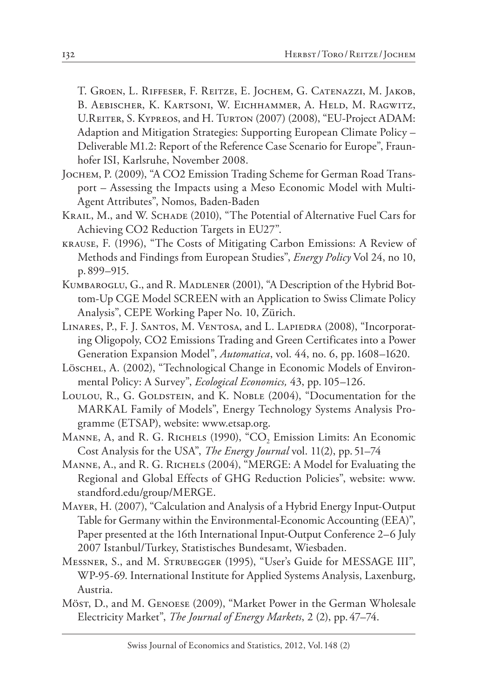T. Groen, L. Riffeser, F. Reitze, E. Jochem, G. Catenazzi, M. Jakob, B. AEBISCHER, K. KARTSONI, W. EICHHAMMER, A. HELD, M. RAGWITZ, U.Reiter, S. Kypreos, and H. Turton (2007) (2008), "EU-Project ADAM: Adaption and Mitigation Strategies: Supporting European Climate Policy – Deliverable M1.2: Report of the Reference Case Scenario for Europe", Fraunhofer ISI, Karlsruhe, November 2008.

- Jochem, P. (2009), "A CO2 Emission Trading Scheme for German Road Transport – Assessing the Impacts using a Meso Economic Model with Multi-Agent Attributes", Nomos, Baden-Baden
- KRAIL, M., and W. SCHADE (2010), "The Potential of Alternative Fuel Cars for Achieving CO2 Reduction Targets in EU27".
- krause, F. (1996), "The Costs of Mitigating Carbon Emissions: A Review of Methods and Findings from European Studies", *Energy Policy* Vol 24, no 10, p. 899–915.
- KUMBAROGLU, G., and R. MADLENER (2001), "A Description of the Hybrid Bottom-Up CGE Model SCREEN with an Application to Swiss Climate Policy Analysis", CEPE Working Paper No. 10, Zürich.
- LINARES, P., F. J. SANTOS, M. VENTOSA, and L. LAPIEDRA (2008), "Incorporating Oligopoly, CO2 Emissions Trading and Green Certificates into a Power Generation Expansion Model", *Automatica*, vol. 44, no. 6, pp. 1608–1620.
- Löschel, A. (2002), "Technological Change in Economic Models of Environmental Policy: A Survey", *Ecological Economics,* 43, pp. 105–126.
- LOULOU, R., G. GOLDSTEIN, and K. NOBLE (2004), "Documentation for the MARKAL Family of Models", Energy Technology Systems Analysis Programme (ETSAP), website: www.etsap.org.
- MANNE, A, and R. G. RICHELS (1990), "CO<sub>2</sub> Emission Limits: An Economic Cost Analysis for the USA", *The Energy Journal* vol. 11(2), pp. 51–74
- Manne, A., and R. G. Richels (2004), "MERGE: A Model for Evaluating the Regional and Global Effects of GHG Reduction Policies", website: www. standford.edu/group/MERGE.
- Mayer, H. (2007), "Calculation and Analysis of a Hybrid Energy Input-Output Table for Germany within the Environmental-Economic Accounting (EEA)", Paper presented at the 16th International Input-Output Conference 2–6 July 2007 Istanbul/Turkey, Statistisches Bundesamt, Wiesbaden.
- Messner, S., and M. Strubegger (1995), "User's Guide for MESSAGE III", WP-95-69. International Institute for Applied Systems Analysis, Laxenburg, Austria.
- Möst, D., and M. Genoese (2009), "Market Power in the German Wholesale Electricity Market", *The Journal of Energy Markets*, 2 (2), pp. 47–74.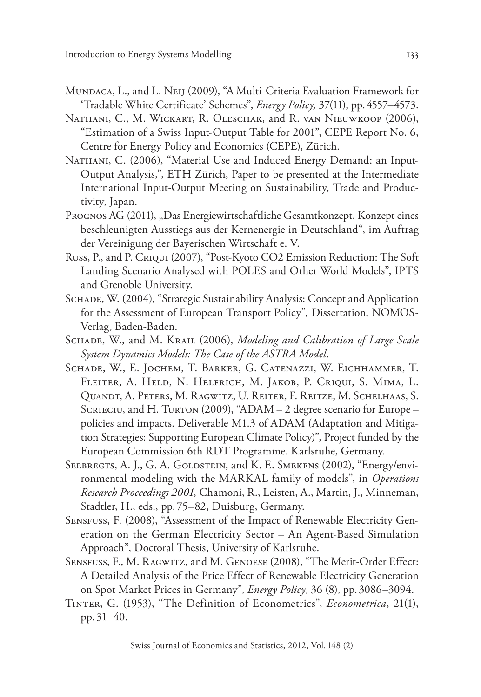- Mundaca, L., and L. Neij (2009), "A Multi-Criteria Evaluation Framework for 'Tradable White Certificate' Schemes", *Energy Policy,* 37(11), pp. 4557–4573.
- Nathani, C., M. Wickart, R. Oleschak, and R. van Nieuwkoop (2006), "Estimation of a Swiss Input-Output Table for 2001", CEPE Report No. 6, Centre for Energy Policy and Economics (CEPE), Zürich.
- NATHANI, C. (2006), "Material Use and Induced Energy Demand: an Input-Output Analysis,", ETH Zürich, Paper to be presented at the Intermediate International Input-Output Meeting on Sustainability, Trade and Productivity, Japan.
- Prognos AG (2011), "Das Energiewirtschaftliche Gesamtkonzept. Konzept eines beschleunigten Ausstiegs aus der Kernenergie in Deutschland", im Auftrag der Vereinigung der Bayerischen Wirtschaft e. V.
- Russ, P., and P. Criqui (2007), "Post-Kyoto CO2 Emission Reduction: The Soft Landing Scenario Analysed with POLES and Other World Models", IPTS and Grenoble University.
- SCHADE, W. (2004), "Strategic Sustainability Analysis: Concept and Application for the Assessment of European Transport Policy", Dissertation, NOMOS-Verlag, Baden-Baden.
- Schade, W., and M. Krail (2006), *Modeling and Calibration of Large Scale System Dynamics Models: The Case of the ASTRA Model*.
- Schade, W., E. Jochem, T. Barker, G. Catenazzi, W. Eichhammer, T. Fleiter, A. Held, N. Helfrich, M. Jakob, P. Criqui, S. Mima, L. Quandt, A. Peters, M. Ragwitz, U. Reiter, F. Reitze, M. Schelhaas, S. SCRIECIU, and H. TURTON (2009), "ADAM - 2 degree scenario for Europe policies and impacts. Deliverable M1.3 of ADAM (Adaptation and Mitigation Strategies: Supporting European Climate Policy)", Project funded by the European Commission 6th RDT Programme. Karlsruhe, Germany.
- SEEBREGTS, A. J., G. A. GOLDSTEIN, and K. E. SMEKENS (2002), "Energy/environmental modeling with the MARKAL family of models", in *Operations Research Proceedings 2001,* Chamoni, R., Leisten, A., Martin, J., Minneman, Stadtler, H., eds., pp. 75–82, Duisburg, Germany.
- Sensfuss, F. (2008), "Assessment of the Impact of Renewable Electricity Generation on the German Electricity Sector – An Agent-Based Simulation Approach", Doctoral Thesis, University of Karlsruhe.
- Sensfuss, F., M. Ragwitz, and M. Genoese (2008), "The Merit-Order Effect: A Detailed Analysis of the Price Effect of Renewable Electricity Generation on Spot Market Prices in Germany", *Energy Policy*, 36 (8), pp. 3086–3094.
- Tinter, G. (1953), "The Definition of Econometrics", *Econometrica*, 21(1), pp. 31–40.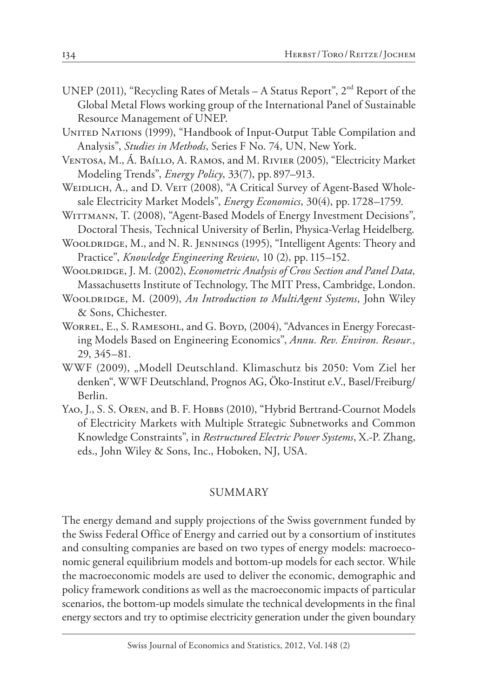- UNEP (2011), "Recycling Rates of Metals A Status Report",  $2<sup>nd</sup>$  Report of the Global Metal Flows working group of the International Panel of Sustainable Resource Management of UNEP.
- UNITED NATIONS (1999), "Handbook of Input-Output Table Compilation and Analysis", *Studies in Methods*, Series F No. 74, UN, New York.
- Ventosa, M., Á. Baíllo, A. Ramos, and M. Rivier (2005), "Electricity Market Modeling Trends", *Energy Policy*, 33(7), pp. 897–913.
- WEIDLICH, A., and D. VEIT (2008), "A Critical Survey of Agent-Based Wholesale Electricity Market Models", *Energy Economics*, 30(4), pp. 1728–1759.
- WITTMANN, T. (2008), "Agent-Based Models of Energy Investment Decisions", Doctoral Thesis, Technical University of Berlin, Physica-Verlag Heidelberg.
- Wooldridge, M., and N. R. Jennings (1995), "Intelligent Agents: Theory and Practice", *Knowledge Engineering Review*, 10 (2), pp. 115–152.
- Wooldridge, J. M. (2002), *Econometric Analysis of Cross Section and Panel Data,* Massachusetts Institute of Technology, The MIT Press, Cambridge, London.
- Wooldridge, M. (2009), *An Introduction to MultiAgent Systems*, John Wiley & Sons, Chichester.
- WORREL, E., S. RAMESOHL, and G. BOYD, (2004), "Advances in Energy Forecasting Models Based on Engineering Economics", *Annu. Rev. Environ. Resour.,* 29, 345–81.
- WWF (2009), "Modell Deutschland. Klimaschutz bis 2050: Vom Ziel her denken", WWF Deutschland, Prognos AG, Öko-Institut e.V., Basel/Freiburg/ Berlin.
- YAO, J., S. S. OREN, and B. F. HOBBS (2010), "Hybrid Bertrand-Cournot Models of Electricity Markets with Multiple Strategic Subnetworks and Common Knowledge Constraints", in *Restructured Electric Power Systems*, X.-P. Zhang, eds., John Wiley & Sons, Inc., Hoboken, NJ, USA.

### **SUMMARY**

The energy demand and supply projections of the Swiss government funded by the Swiss Federal Office of Energy and carried out by a consortium of institutes and consulting companies are based on two types of energy models: macroeconomic general equilibrium models and bottom-up models for each sector. While the macroeconomic models are used to deliver the economic, demographic and policy framework conditions as well as the macroeconomic impacts of particular scenarios, the bottom-up models simulate the technical developments in the final energy sectors and try to optimise electricity generation under the given boundary